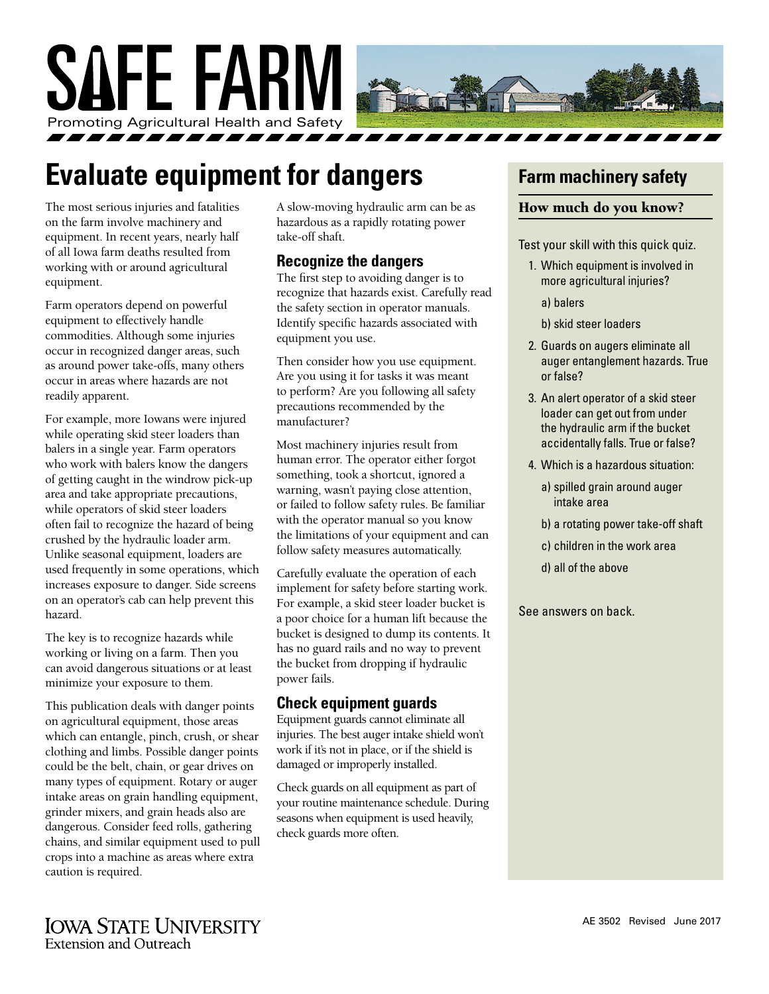

## **Evaluate equipment for dangers**

The most serious injuries and fatalities on the farm involve machinery and equipment. In recent years, nearly half of all Iowa farm deaths resulted from working with or around agricultural equipment.

Farm operators depend on powerful equipment to effectively handle commodities. Although some injuries occur in recognized danger areas, such as around power take-offs, many others occur in areas where hazards are not readily apparent.

For example, more Iowans were injured while operating skid steer loaders than balers in a single year. Farm operators who work with balers know the dangers of getting caught in the windrow pick-up area and take appropriate precautions, while operators of skid steer loaders often fail to recognize the hazard of being crushed by the hydraulic loader arm. Unlike seasonal equipment, loaders are used frequently in some operations, which increases exposure to danger. Side screens on an operator's cab can help prevent this hazard.

The key is to recognize hazards while working or living on a farm. Then you can avoid dangerous situations or at least minimize your exposure to them.

This publication deals with danger points on agricultural equipment, those areas which can entangle, pinch, crush, or shear clothing and limbs. Possible danger points could be the belt, chain, or gear drives on many types of equipment. Rotary or auger intake areas on grain handling equipment, grinder mixers, and grain heads also are dangerous. Consider feed rolls, gathering chains, and similar equipment used to pull crops into a machine as areas where extra caution is required.

A slow-moving hydraulic arm can be as hazardous as a rapidly rotating power take-off shaft.

#### **Recognize the dangers**

The first step to avoiding danger is to recognize that hazards exist. Carefully read the safety section in operator manuals. Identify specific hazards associated with equipment you use.

Then consider how you use equipment. Are you using it for tasks it was meant to perform? Are you following all safety precautions recommended by the manufacturer?

Most machinery injuries result from human error. The operator either forgot something, took a shortcut, ignored a warning, wasn't paying close attention, or failed to follow safety rules. Be familiar with the operator manual so you know the limitations of your equipment and can follow safety measures automatically.

Carefully evaluate the operation of each implement for safety before starting work. For example, a skid steer loader bucket is a poor choice for a human lift because the bucket is designed to dump its contents. It has no guard rails and no way to prevent the bucket from dropping if hydraulic power fails.

#### **Check equipment guards**

Equipment guards cannot eliminate all injuries. The best auger intake shield won't work if it's not in place, or if the shield is damaged or improperly installed.

Check guards on all equipment as part of your routine maintenance schedule. During seasons when equipment is used heavily, check guards more often.

## **Farm machinery safety**

#### How much do you know?

Test your skill with this quick quiz.

- 1. Which equipment is involved in more agricultural injuries?
	- a) balers
	- b) skid steer loaders
- 2. Guards on augers eliminate all auger entanglement hazards. True or false?
- 3. An alert operator of a skid steer loader can get out from under the hydraulic arm if the bucket accidentally falls. True or false?
- 4. Which is a hazardous situation:
	- a) spilled grain around auger intake area
	- b) a rotating power take-off shaft
	- c) children in the work area
	- d) all of the above

See answers on back.